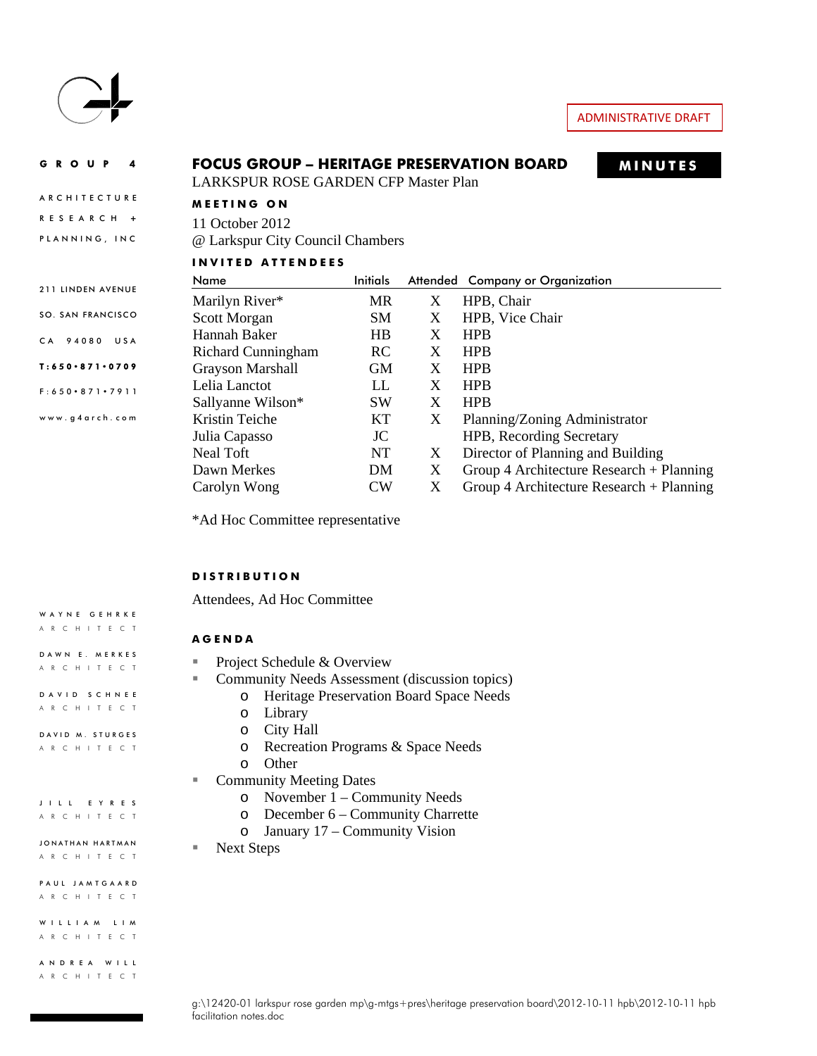

WAYNE GEHRKE ARCHITECT

DAWN E. MERKES ARCHITECT DAVID SCHNEE ARCHITECT DAVID M. STURGES ARCHITECT

JILL EYRES ARCHITECT JONATHAN HARTMAN ARCHITECT

PAUL JAMTGAARD ARCHITECT WILLIAM LIM ARCHITECT

ANDREA WILL ARCHITECT

#### GROUP 4 **MINUTES FOCUS GROUP – HERITAGE PRESERVATION BOARD ARCHITECTURE** RESEARCH **+** PLANNING, INC 211 LINDEN AVENUE SO. SAN FRANCISCO CA 94080 USA T:650 871 0709 F:650 871 7911 www.g4arch.com LARKSPUR ROSE GARDEN CFP Master Plan **MEETING ON**  11 October 2012 @ Larkspur City Council Chambers **INVITED ATTENDEES**  Name Initials Attended Company or Organization Marilyn River\* MR X HPB, Chair Scott Morgan SM X HPB, Vice Chair Hannah Baker HB X HPB Richard Cunningham RC X HPB Grayson Marshall GM X HPB Lelia Lanctot LL X HPB Sallyanne Wilson\* SW X HPB Kristin Teiche KT X Planning/Zoning Administrator Julia Capasso JC HPB, Recording Secretary Neal Toft NT X Director of Planning and Building Dawn Merkes DM X Group 4 Architecture Research + Planning Carolyn Wong CW X Group 4 Architecture Research + Planning

\*Ad Hoc Committee representative

#### **DISTRIBUTION**

Attendees, Ad Hoc Committee

#### **AGENDA**

- Project Schedule & Overview
- **Community Needs Assessment (discussion topics)** 
	- o Heritage Preservation Board Space Needs
	- o Library
	- o City Hall
	- o Recreation Programs & Space Needs
	- o Other
- Community Meeting Dates
	- o November 1 Community Needs
	- o December 6 Community Charrette
	- o January 17 Community Vision
- Next Steps

g:\12420-01 larkspur rose garden mp\g-mtgs+pres\heritage preservation board\2012-10-11 hpb\2012-10-11 hpb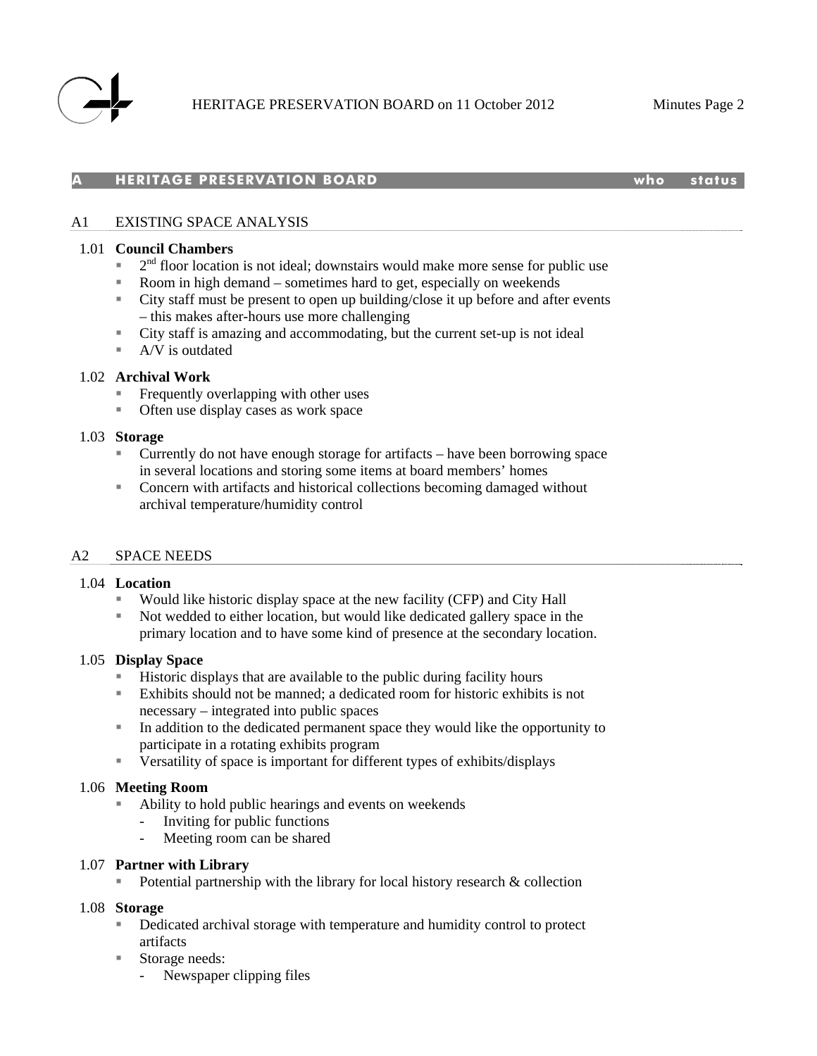

#### **A HERITAGE PRESERVATION BOARD who status**

## A1 EXISTING SPACE ANALYSIS

#### 1.01 **Council Chambers**

- $2<sup>nd</sup>$  floor location is not ideal; downstairs would make more sense for public use
- Room in high demand sometimes hard to get, especially on weekends
- City staff must be present to open up building/close it up before and after events – this makes after-hours use more challenging
- City staff is amazing and accommodating, but the current set-up is not ideal
- A/V is outdated

#### 1.02 **Archival Work**

- Frequently overlapping with other uses
- **Often use display cases as work space**

#### 1.03 **Storage**

- Currently do not have enough storage for artifacts have been borrowing space in several locations and storing some items at board members' homes
- Concern with artifacts and historical collections becoming damaged without archival temperature/humidity control

#### A2 SPACE NEEDS

#### 1.04 **Location**

- Would like historic display space at the new facility (CFP) and City Hall
- Not wedded to either location, but would like dedicated gallery space in the primary location and to have some kind of presence at the secondary location.

#### 1.05 **Display Space**

- Historic displays that are available to the public during facility hours
- Exhibits should not be manned; a dedicated room for historic exhibits is not necessary – integrated into public spaces
- In addition to the dedicated permanent space they would like the opportunity to participate in a rotating exhibits program
- Versatility of space is important for different types of exhibits/displays

#### 1.06 **Meeting Room**

- Ability to hold public hearings and events on weekends
	- Inviting for public functions
	- Meeting room can be shared

#### 1.07 **Partner with Library**

Potential partnership with the library for local history research  $\&$  collection

#### 1.08 **Storage**

- Dedicated archival storage with temperature and humidity control to protect artifacts
- Storage needs:
	- Newspaper clipping files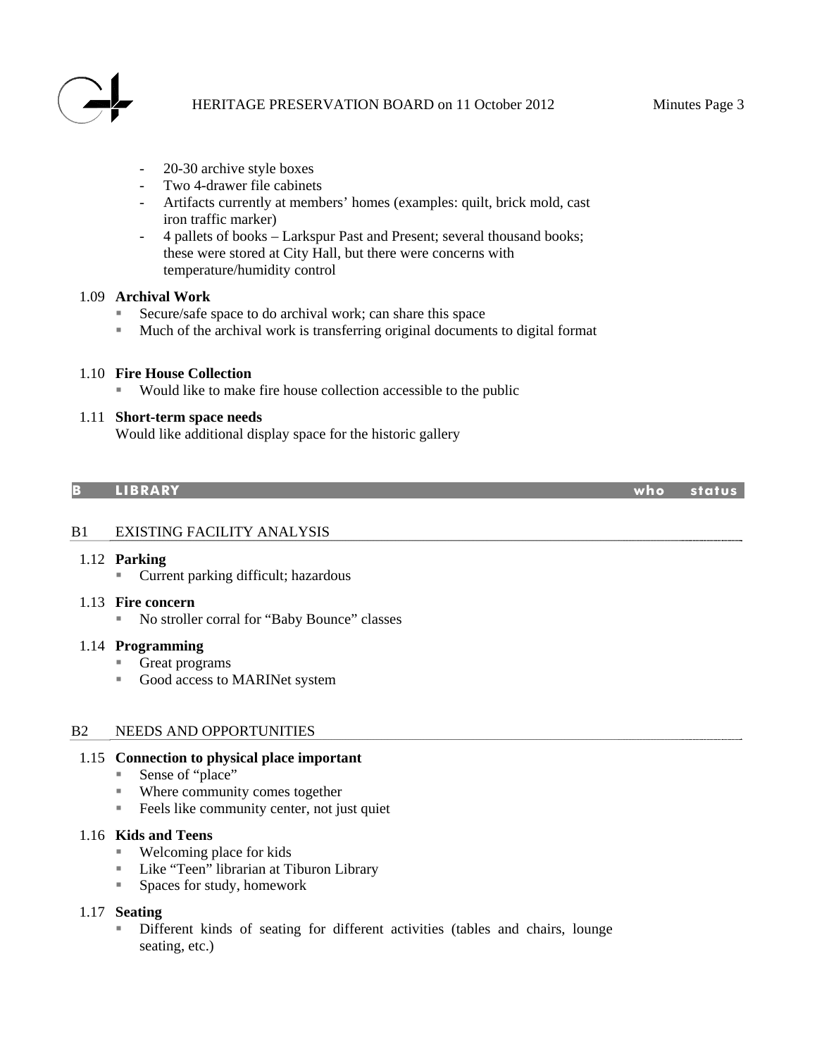

- 20-30 archive style boxes
- Two 4-drawer file cabinets
- Artifacts currently at members' homes (examples: quilt, brick mold, cast iron traffic marker)
- 4 pallets of books Larkspur Past and Present; several thousand books; these were stored at City Hall, but there were concerns with temperature/humidity control

## 1.09 **Archival Work**

- Secure/safe space to do archival work; can share this space
- Much of the archival work is transferring original documents to digital format

## 1.10 **Fire House Collection**

Would like to make fire house collection accessible to the public

## 1.11 **Short-term space needs**

Would like additional display space for the historic gallery

#### **B LIBRARY who status**

B1 EXISTING FACILITY ANALYSIS

## 1.12 **Parking**

■ Current parking difficult; hazardous

#### 1.13 **Fire concern**

■ No stroller corral for "Baby Bounce" classes

#### 1.14 **Programming**

- Great programs
- Good access to MARINet system

#### B2 NEEDS AND OPPORTUNITIES

## 1.15 **Connection to physical place important**

- Sense of "place"
- Where community comes together
- Feels like community center, not just quiet

## 1.16 **Kids and Teens**

- Welcoming place for kids
- Like "Teen" librarian at Tiburon Library
- Spaces for study, homework

#### 1.17 **Seating**

 Different kinds of seating for different activities (tables and chairs, lounge seating, etc.)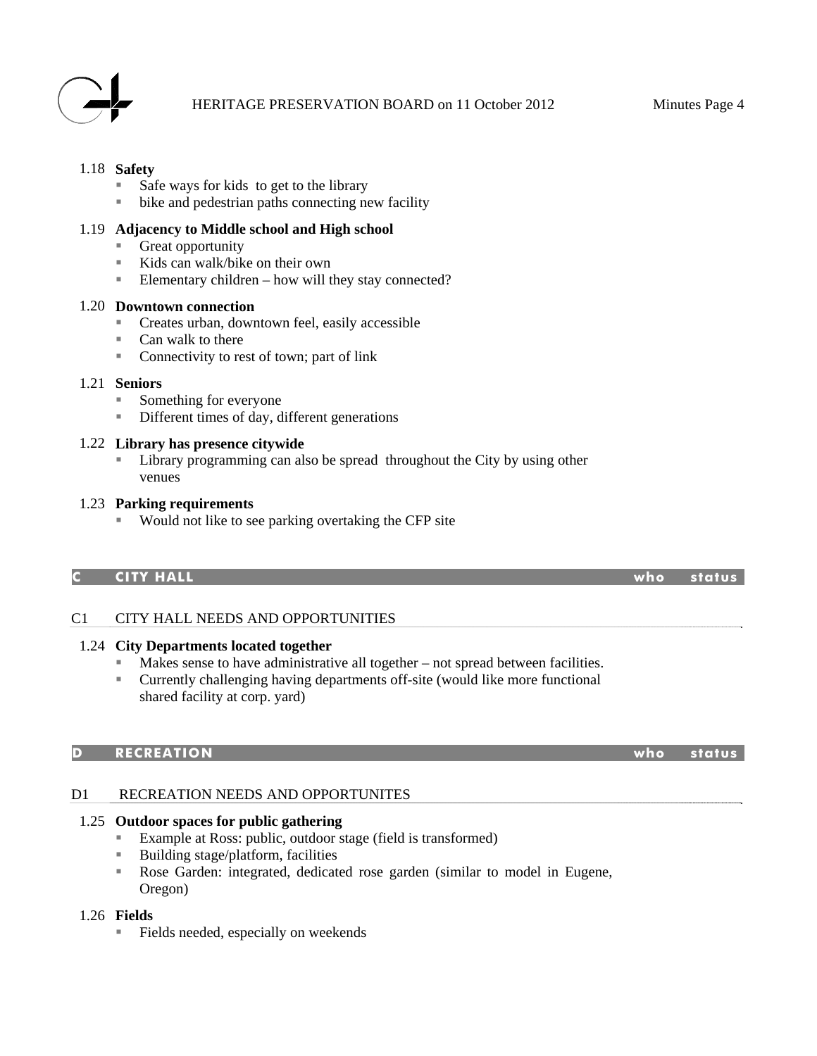

## 1.18 **Safety**

- $\blacksquare$  Safe ways for kids to get to the library
- $\blacksquare$  bike and pedestrian paths connecting new facility

## 1.19 **Adjacency to Middle school and High school**

- Great opportunity
- Kids can walk/bike on their own
- Elementary children how will they stay connected?

#### 1.20 **Downtown connection**

- Creates urban, downtown feel, easily accessible
- Can walk to there
- Connectivity to rest of town; part of link

## 1.21 **Seniors**

- Something for everyone
- Different times of day, different generations

## 1.22 **Library has presence citywide**

**Library programming can also be spread throughout the City by using other** venues

## 1.23 **Parking requirements**

■ Would not like to see parking overtaking the CFP site

## **C CITY HALL who status**

## C1 CITY HALL NEEDS AND OPPORTUNITIES

## 1.24 **City Departments located together**

- Makes sense to have administrative all together not spread between facilities.<br>Currently challenging having denartments off-site (would like more functional
- Currently challenging having departments off-site (would like more functional shared facility at corp. yard)

## **D RECREATION who status**

## D1 RECREATION NEEDS AND OPPORTUNITES

## 1.25 **Outdoor spaces for public gathering**

- Example at Ross: public, outdoor stage (field is transformed)
- Building stage/platform, facilities
- Rose Garden: integrated, dedicated rose garden (similar to model in Eugene, Oregon)

#### 1.26 **Fields**

Fields needed, especially on weekends